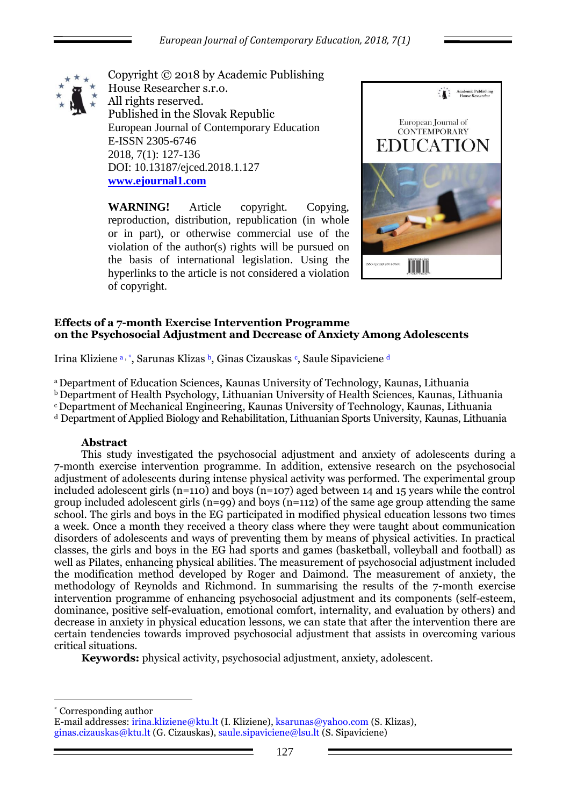

Copyright © 2018 by Academic Publishing House Researcher s.r.o. All rights reserved. Published in the Slovak Republic European Journal of Contemporary Education E-ISSN 2305-6746 2018, 7(1): 127-136 DOI: 10.13187/ejced.2018.1.127 **[www.ejournal1.com](http://www.ejournal1.com/)**

**WARNING!** Article copyright. Copying, reproduction, distribution, republication (in whole or in part), or otherwise commercial use of the violation of the author(s) rights will be pursued on the basis of international legislation. Using the hyperlinks to the article is not considered a violation of copyright.



## **Effects of a 7-month Exercise Intervention Programme on the Psychosocial Adjustment and Decrease of Anxiety Among Adolescents**

Irina Kliziene a, \*, Sarunas Klizas b, Ginas Cizauskas <sup>e</sup>, Saule Sipaviciene d

<sup>a</sup>Department of Education Sciences, Kaunas University of Technology, Kaunas, Lithuania **b** Department of Health Psychology, Lithuanian University of Health Sciences, Kaunas, Lithuania <sup>c</sup>[Department of Mechanical Engineering,](http://ktu.edu/en/faculty-mechanical-engineering-and-design#!) Kaunas University of Technology, Kaunas, Lithuania <sup>d</sup> Department of Applied Biology and Rehabilitation, Lithuanian Sports University, Kaunas, Lithuania

# **Abstract**

This study investigated the psychosocial adjustment and anxiety of adolescents during a 7-month exercise intervention programme. In addition, extensive research on the psychosocial adjustment of adolescents during intense physical activity was performed. The experimental group included adolescent girls (n=110) and boys (n=107) aged between 14 and 15 years while the control group included adolescent girls  $(n=99)$  and boys  $(n=112)$  of the same age group attending the same school. The girls and boys in the EG participated in modified physical education lessons two times a week. Once a month they received a theory class where they were taught about communication disorders of adolescents and ways of preventing them by means of physical activities. In practical classes, the girls and boys in the EG had sports and games (basketball, volleyball and football) as well as Pilates, enhancing physical abilities. The measurement of psychosocial adjustment included the modification method developed by Roger and Daimond. The measurement of anxiety, the methodology of Reynolds and Richmond. In summarising the results of the 7-month exercise intervention programme of enhancing psychosocial adjustment and its components (self-esteem, dominance, positive self-evaluation, emotional comfort, internality, and evaluation by others) and decrease in anxiety in physical education lessons, we can state that after the intervention there are certain tendencies towards improved psychosocial adjustment that assists in overcoming various critical situations.

**Keywords:** physical activity, psychosocial adjustment, anxiety, adolescent.

\* Corresponding author

1

E-mail addresses: [irina.kliziene@ktu.lt](mailto:irina.kliziene@ktu.lt) (I. Kliziene), [ksarunas@yahoo.com](mailto:ksarunas@yahoo.com) (S. Klizas), [ginas.cizauskas@ktu.lt](mailto:ginas.cizauskas@ktu.lt) (G. Cizauskas), saule.sipaviciene@lsu.lt (S. Sipaviciene)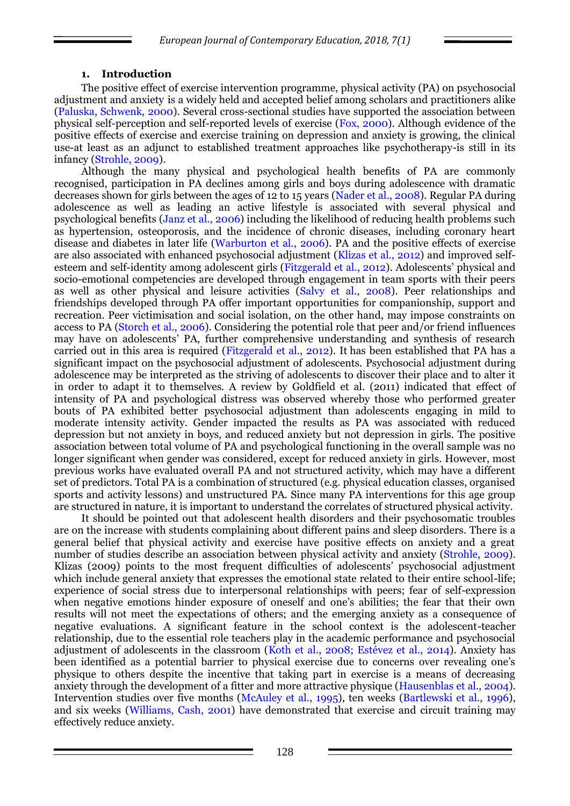## **1. Introduction**

The positive effect of exercise intervention programme, physical activity (PA) on psychosocial adjustment and anxiety is a widely held and accepted belief among scholars and practitioners alike (Paluska, Schwenk, 2000). Several cross-sectional studies have supported the association between physical self-perception and self-reported levels of exercise (Fox, 2000). Although evidence of the positive effects of exercise and exercise training on depression and anxiety is growing, the clinical use-at least as an adjunct to established treatment approaches like psychotherapy-is still in its infancy (Strohle, 2009).

Although the many physical and psychological health benefits of PA are commonly recognised, participation in PA declines among girls and boys during adolescence with dramatic decreases shown for girls between the ages of 12 to 15 years (Nader et al., 2008). Regular PA during adolescence as well as leading an active lifestyle is associated with several physical and psychological benefits (Janz et al., 2006) including the likelihood of reducing health problems such as hypertension, osteoporosis, and the incidence of chronic diseases, including coronary heart disease and diabetes in later life (Warburton et al., 2006). PA and the positive effects of exercise are also associated with enhanced psychosocial adjustment (Klizas et al., 2012) and improved selfesteem and self-identity among adolescent girls (Fitzgerald et al., 2012). Adolescents' physical and socio-emotional competencies are developed through engagement in team sports with their peers as well as other physical and leisure activities (Salvy et al., 2008). Peer relationships and friendships developed through PA offer important opportunities for companionship, support and recreation. Peer victimisation and social isolation, on the other hand, may impose constraints on access to PA (Storch et al., 2006). Considering the potential role that peer and/or friend influences may have on adolescents' PA, further comprehensive understanding and synthesis of research carried out in this area is required (Fitzgerald et al., 2012). It has been established that PA has a significant impact on the psychosocial adjustment of adolescents. Psychosocial adjustment during adolescence may be interpreted as the striving of adolescents to discover their place and to alter it in order to adapt it to themselves. A review by Goldfield et al. (2011) indicated that effect of intensity of PA and psychological distress was observed whereby those who performed greater bouts of PA exhibited better psychosocial adjustment than adolescents engaging in mild to moderate intensity activity. Gender impacted the results as PA was associated with reduced depression but not anxiety in boys, and reduced anxiety but not depression in girls. The positive association between total volume of PA and psychological functioning in the overall sample was no longer significant when gender was considered, except for reduced anxiety in girls. However, most previous works have evaluated overall PA and not structured activity, which may have a different set of predictors. Total PA is a combination of structured (e.g. physical education classes, organised sports and activity lessons) and unstructured PA. Since many PA interventions for this age group are structured in nature, it is important to understand the correlates of structured physical activity.

It should be pointed out that adolescent health disorders and their psychosomatic troubles are on the increase with students complaining about different pains and sleep disorders. There is a general belief that physical activity and exercise have positive effects on anxiety and a great number of studies describe an association between physical activity and anxiety (Strohle, 2009). Klizas (2009) points to the most frequent difficulties of adolescents' psychosocial adjustment which include general anxiety that expresses the emotional state related to their entire school-life; experience of social stress due to interpersonal relationships with peers; fear of self-expression when negative emotions hinder exposure of oneself and one's abilities; the fear that their own results will not meet the expectations of others; and the emerging anxiety as a consequence of negative evaluations. A significant feature in the school context is the adolescent-teacher relationship, due to the essential role teachers play in the academic performance and psychosocial adjustment of adolescents in the classroom (Koth et al., 2008; Estévez et al., 2014). Anxiety has been identified as a potential barrier to physical exercise due to concerns over revealing one's physique to others despite the incentive that taking part in exercise is a means of decreasing anxiety through the development of a fitter and more attractive physique (Hausenblas et al., 2004). Intervention studies over five months (McAuley et al., 1995), ten weeks (Bartlewski et al., 1996), and six weeks (Williams, Cash, 2001) have demonstrated that exercise and circuit training may effectively reduce anxiety.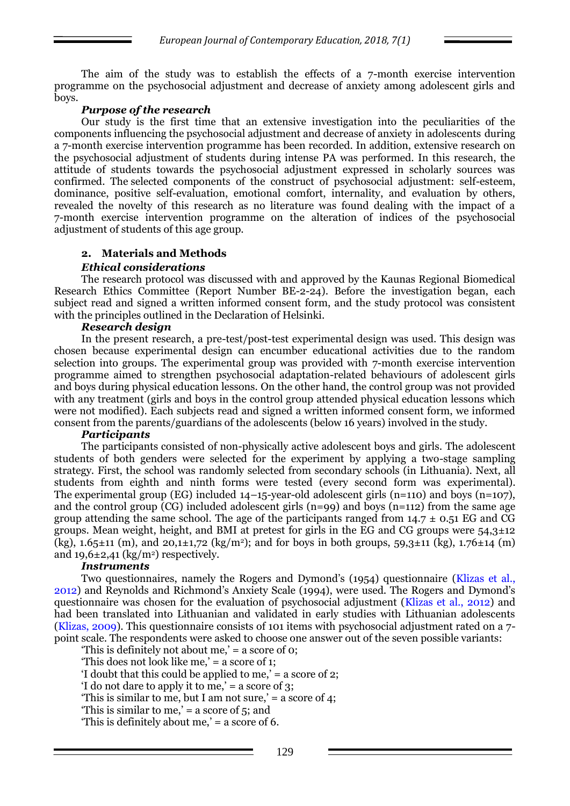The aim of the study was to establish the effects of a 7-month exercise intervention programme on the psychosocial adjustment and decrease of anxiety among adolescent girls and boys.

### *Purpose of the research*

Our study is the first time that an extensive investigation into the peculiarities of the components influencing the psychosocial adjustment and decrease of anxiety in adolescents during a 7-month exercise intervention programme has been recorded. In addition, extensive research on the psychosocial adjustment of students during intense PA was performed. In this research, the attitude of students towards the psychosocial adjustment expressed in scholarly sources was confirmed. The selected components of the construct of psychosocial adjustment: self-esteem, dominance, positive self-evaluation, emotional comfort, internality, and evaluation by others, revealed the novelty of this research as no literature was found dealing with the impact of a 7-month exercise intervention programme on the alteration of indices of the psychosocial adjustment of students of this age group.

# **2. Materials and Methods**

## *Ethical considerations*

The research protocol was discussed with and approved by the Kaunas Regional Biomedical Research Ethics Committee (Report Number BE-2-24). Before the investigation began, each subject read and signed a written informed consent form, and the study protocol was consistent with the principles outlined in the Declaration of Helsinki.

#### *Research design*

In the present research, a pre-test/post-test experimental design was used. This design was chosen because experimental design can encumber educational activities due to the random selection into groups. The experimental group was provided with 7-month exercise intervention programme aimed to strengthen psychosocial adaptation-related behaviours of adolescent girls and boys during physical education lessons. On the other hand, the control group was not provided with any treatment (girls and boys in the control group attended physical education lessons which were not modified). Each subjects read and signed a written informed consent form, we informed consent from the parents/guardians of the adolescents (below 16 years) involved in the study.

#### *Participants*

The participants consisted of non-physically active adolescent boys and girls. The adolescent students of both genders were selected for the experiment by applying a two-stage sampling strategy. First, the school was randomly selected from secondary schools (in Lithuania). Next, all students from eighth and ninth forms were tested (every second form was experimental). The experimental group (EG) included 14–15-year-old adolescent girls (n=110) and boys (n=107), and the control group (CG) included adolescent girls  $(n=99)$  and boys  $(n=112)$  from the same age group attending the same school. The age of the participants ranged from  $14.7 \pm 0.51$  EG and CG groups. Mean weight, height, and BMI at pretest for girls in the EG and CG groups were  $54.3\pm12$ (kg),  $1.65\pm11$  (m), and  $20,1\pm1,72$  (kg/m<sup>2</sup>); and for boys in both groups,  $59,3\pm11$  (kg),  $1.76\pm14$  (m) and  $19,6\pm2,41$  (kg/m<sup>2</sup>) respectively.

## *Instruments*

Two questionnaires, namely the Rogers and Dymond's (1954) questionnaire (Klizas et al., 2012) and Reynolds and Richmond's Anxiety Scale (1994), were used. The Rogers and Dymond's questionnaire was chosen for the evaluation of psychosocial adjustment (Klizas et al., 2012) and had been translated into Lithuanian and validated in early studies with Lithuanian adolescents (Klizas, 2009). This questionnaire consists of 101 items with psychosocial adjustment rated on a 7 point scale. The respondents were asked to choose one answer out of the seven possible variants:

'This is definitely not about me,' = a score of 0;

'This does not look like me,' = a score of 1;

'I doubt that this could be applied to me,' = a score of 2;

'I do not dare to apply it to me,' = a score of  $3$ ;

'This is similar to me, but I am not sure,' = a score of 4;

'This is similar to me,' = a score of 5; and

'This is definitely about me,' = a score of 6.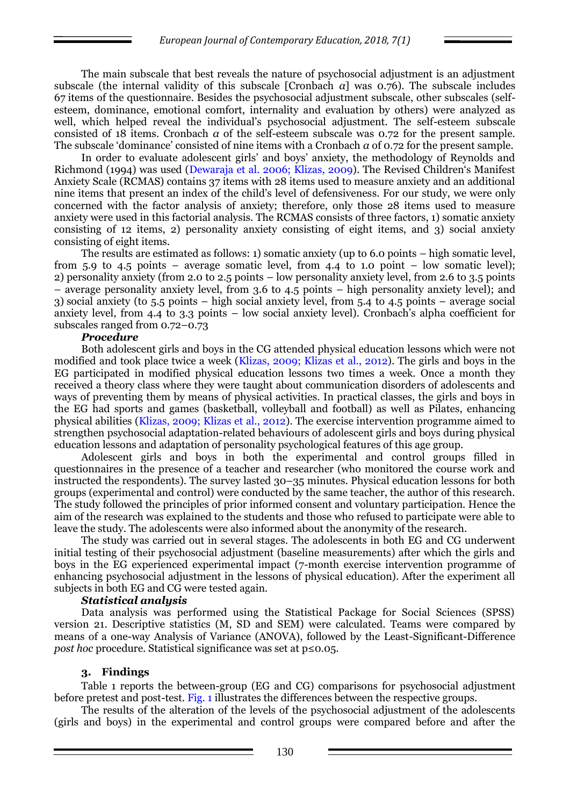The main subscale that best reveals the nature of psychosocial adjustment is an adjustment subscale (the internal validity of this subscale [Cronbach *α*] was 0.76). The subscale includes 67 items of the questionnaire. Besides the psychosocial adjustment subscale, other subscales (selfesteem, dominance, emotional comfort, internality and evaluation by others) were analyzed as well, which helped reveal the individual's psychosocial adjustment. The self-esteem subscale consisted of 18 items. Cronbach *α* of the self-esteem subscale was 0.72 for the present sample. The subscale 'dominance' consisted of nine items with a Cronbach *α* of 0.72 for the present sample.

In order to evaluate adolescent girls' and boys' anxiety, the methodology of Reynolds and Richmond (1994) was used (Dewaraja et al. 2006; Klizas, 2009). The Revised Children's Manifest Anxiety Scale (RCMAS) contains 37 items with 28 items used to measure anxiety and an additional nine items that present an index of the child's level of defensiveness. For our study, we were only concerned with the factor analysis of anxiety; therefore, only those 28 items used to measure anxiety were used in this factorial analysis. The RCMAS consists of three factors, 1) somatic anxiety consisting of 12 items, 2) personality anxiety consisting of eight items, and 3) social anxiety consisting of eight items.

The results are estimated as follows: 1) somatic anxiety (up to 6.0 points – high somatic level, from 5.9 to 4.5 points – average somatic level, from 4.4 to 1.0 point – low somatic level); 2) personality anxiety (from 2.0 to 2.5 points – low personality anxiety level, from 2.6 to 3.5 points – average personality anxiety level, from 3.6 to 4.5 points – high personality anxiety level); and 3) social anxiety (to 5.5 points – high social anxiety level, from 5.4 to 4.5 points – average social anxiety level, from 4.4 to 3.3 points – low social anxiety level). Cronbach's alpha coefficient for subscales ranged from 0.72–0.73

#### *Procedure*

Both adolescent girls and boys in the CG attended physical education lessons which were not modified and took place twice a week (Klizas, 2009; Klizas et al., 2012). The girls and boys in the EG participated in modified physical education lessons two times a week. Once a month they received a theory class where they were taught about communication disorders of adolescents and ways of preventing them by means of physical activities. In practical classes, the girls and boys in the EG had sports and games (basketball, volleyball and football) as well as Pilates, enhancing physical abilities (Klizas, 2009; Klizas et al., 2012). The exercise intervention programme aimed to strengthen psychosocial adaptation-related behaviours of adolescent girls and boys during physical education lessons and adaptation of personality psychological features of this age group.

Adolescent girls and boys in both the experimental and control groups filled in questionnaires in the presence of a teacher and researcher (who monitored the course work and instructed the respondents). The survey lasted 30–35 minutes. Physical education lessons for both groups (experimental and control) were conducted by the same teacher, the author of this research. The study followed the principles of prior informed consent and voluntary participation. Hence the aim of the research was explained to the students and those who refused to participate were able to leave the study. The adolescents were also informed about the anonymity of the research.

The study was carried out in several stages. The adolescents in both EG and CG underwent initial testing of their psychosocial adjustment (baseline measurements) after which the girls and boys in the EG experienced experimental impact (7-month exercise intervention programme of enhancing psychosocial adjustment in the lessons of physical education). After the experiment all subjects in both EG and CG were tested again.

#### *Statistical analysis*

Data analysis was performed using the Statistical Package for Social Sciences (SPSS) version 21. Descriptive statistics (M, SD and SEM) were calculated. Teams were compared by means of a one-way Analysis of Variance (ANOVA), followed by the Least-Significant-Difference *post hoc* procedure. Statistical significance was set at p≤0.05.

#### **3. Findings**

Table 1 reports the between-group (EG and CG) comparisons for psychosocial adjustment before pretest and post-test. Fig. 1 illustrates the differences between the respective groups.

The results of the alteration of the levels of the psychosocial adjustment of the adolescents (girls and boys) in the experimental and control groups were compared before and after the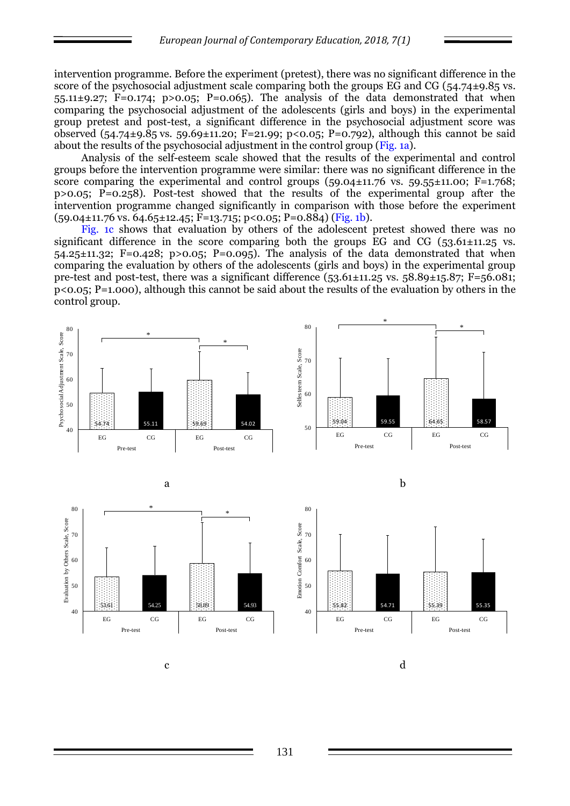intervention programme. Before the experiment (pretest), there was no significant difference in the score of the psychosocial adjustment scale comparing both the groups EG and CG ( $54.74\pm9.85$  vs. 55.11 $\pm$ 9.27; F=0.174; p>0.05; P=0.065). The analysis of the data demonstrated that when comparing the psychosocial adjustment of the adolescents (girls and boys) in the experimental group pretest and post-test, a significant difference in the psychosocial adjustment score was observed (54.74±9.85 vs. 59.69±11.20; F=21.99; p<0.05; P=0.792), although this cannot be said about the results of the psychosocial adjustment in the control group (Fig. 1a).

Analysis of the self-esteem scale showed that the results of the experimental and control groups before the intervention programme were similar: there was no significant difference in the score comparing the experimental and control groups  $(59.04 \pm 11.76 \text{ vs. } 59.55 \pm 11.00; \text{ F} = 1.768;$ p>0.05; P=0.258). Post-test showed that the results of the experimental group after the intervention programme changed significantly in comparison with those before the experiment  $(59.04\pm11.76 \text{ vs. } 64.65\pm12.45; \text{ F} = 13.715; \text{ p} < 0.05; \text{ P} = 0.884) \text{ (Fig. 1b)}$ .

Fig. 1c shows that evaluation by others of the adolescent pretest showed there was no significant difference in the score comparing both the groups EG and CG  $(53.61 \pm 11.25 \text{ vs.})$  $54.25\pm11.32$ ; F=0.428; p>0.05; P=0.095). The analysis of the data demonstrated that when comparing the evaluation by others of the adolescents (girls and boys) in the experimental group pre-test and post-test, there was a significant difference  $(53.61\pm11.25 \text{ vs. } 58.89\pm15.87; \text{ F} = 56.081;$  $p<sub>0.05</sub>; P=1.000$ , although this cannot be said about the results of the evaluation by others in the control group.





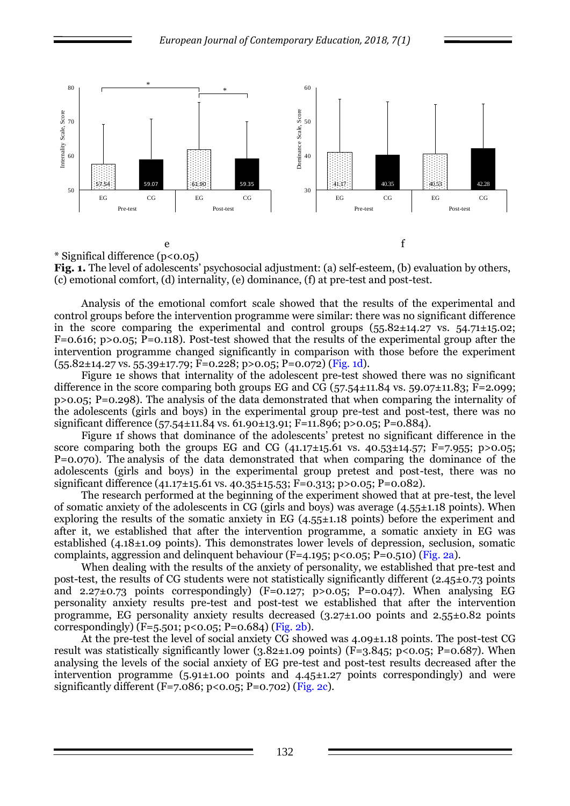

**Fig. 1.** The level of adolescents' psychosocial adjustment: (a) self-esteem, (b) evaluation by others, (c) emotional comfort, (d) internality, (e) dominance, (f) at pre-test and post-test.

Analysis of the emotional comfort scale showed that the results of the experimental and control groups before the intervention programme were similar: there was no significant difference in the score comparing the experimental and control groups  $(55.82 \pm 14.27 \text{ vs. } 54.71 \pm 15.02;$ F=0.616; p>0.05; P=0.118). Post-test showed that the results of the experimental group after the intervention programme changed significantly in comparison with those before the experiment  $(55.82 \pm 14.27 \text{ vs. } 55.39 \pm 17.79; \text{ F} = 0.228; \text{ p} > 0.05; \text{ P} = 0.072) (\text{Fig. 1d})$ .

Figure 1e shows that internality of the adolescent pre-test showed there was no significant difference in the score comparing both groups EG and CG  $(57.54 \pm 11.84 \text{ vs. } 59.07 \pm 11.83; \text{ F} = 2.099;$ p>0.05; P=0.298). The analysis of the data demonstrated that when comparing the internality of the adolescents (girls and boys) in the experimental group pre-test and post-test, there was no significant difference (57.54±11.84 vs. 61.90±13.91; F=11.896; p>0.05; P=0.884).

Figure 1f shows that dominance of the adolescents' pretest no significant difference in the score comparing both the groups EG and CG  $(41.17\pm15.61 \text{ vs. } 40.53\pm14.57; \text{ F} = 7.955; \text{ p} > 0.05;$ P=0.070). The analysis of the data demonstrated that when comparing the dominance of the adolescents (girls and boys) in the experimental group pretest and post-test, there was no significant difference (41.17±15.61 vs. 40.35±15.53; F=0.313; p>0.05; P=0.082).

The research performed at the beginning of the experiment showed that at pre-test, the level of somatic anxiety of the adolescents in CG (girls and boys) was average (4.55±1.18 points). When exploring the results of the somatic anxiety in EG (4.55±1.18 points) before the experiment and after it, we established that after the intervention programme, a somatic anxiety in EG was established  $(4.18\pm1.09 \text{ points})$ . This demonstrates lower levels of depression, seclusion, somatic complaints, aggression and delinquent behaviour ( $F=4.195$ ; p<0.05; P=0.510) (Fig. 2a).

When dealing with the results of the anxiety of personality, we established that pre-test and post-test, the results of CG students were not statistically significantly different (2.45±0.73 points and 2.27 $\pm$ 0.73 points correspondingly) (F=0.127; p>0.05; P=0.047). When analysing EG personality anxiety results pre-test and post-test we established that after the intervention programme, EG personality anxiety results decreased (3.27±1.00 points and 2.55±0.82 points correspondingly)  $(F=5.501; p<0.05; P=0.684)$  (Fig. 2b).

At the pre-test the level of social anxiety CG showed was 4.09±1.18 points. The post-test CG result was statistically significantly lower ( $3.82\pm1.09$  points) (F= $3.845$ ; p<0.05; P=0.687). When analysing the levels of the social anxiety of EG pre-test and post-test results decreased after the intervention programme  $(5.91\pm1.00 \text{ points and } 4.45\pm1.27 \text{ points correspondingly})$  and were significantly different (F=7.086; p<0.05; P=0.702) (Fig. 2c).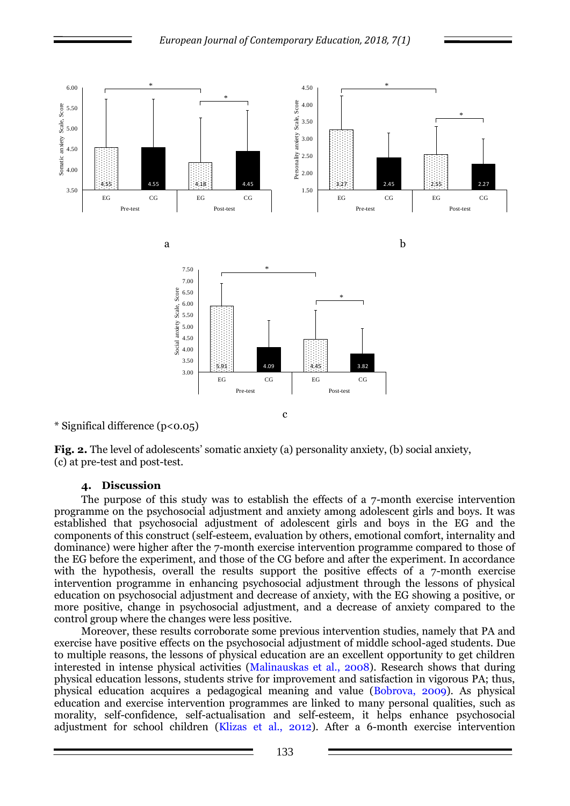

*European Journal of Contemporary Education, 2018, 7(1)*

\* Significal difference (p<0.05)

**Fig. 2.** The level of adolescents' somatic anxiety (a) personality anxiety, (b) social anxiety, (c) at pre-test and post-test.

#### **4. Discussion**

The purpose of this study was to establish the effects of a 7-month exercise intervention programme on the psychosocial adjustment and anxiety among adolescent girls and boys. It was established that psychosocial adjustment of adolescent girls and boys in the EG and the components of this construct (self-esteem, evaluation by others, emotional comfort, internality and dominance) were higher after the 7-month exercise intervention programme compared to those of the EG before the experiment, and those of the CG before and after the experiment. In accordance with the hypothesis, overall the results support the positive effects of a 7-month exercise intervention programme in enhancing psychosocial adjustment through the lessons of physical education on psychosocial adjustment and decrease of anxiety, with the EG showing a positive, or more positive, change in psychosocial adjustment, and a decrease of anxiety compared to the control group where the changes were less positive.

Moreover, these results corroborate some previous intervention studies, namely that PA and exercise have positive effects on the psychosocial adjustment of middle school-aged students. Due to multiple reasons, the lessons of physical education are an excellent opportunity to get children interested in intense physical activities (Malinauskas et al., 2008). Research shows that during physical education lessons, students strive for improvement and satisfaction in vigorous PA; thus, physical education acquires a pedagogical meaning and value (Bobrova, 2009). As physical education and exercise intervention programmes are linked to many personal qualities, such as morality, self-confidence, self-actualisation and self-esteem, it helps enhance psychosocial adjustment for school children (Klizas et al., 2012). After a 6-month exercise intervention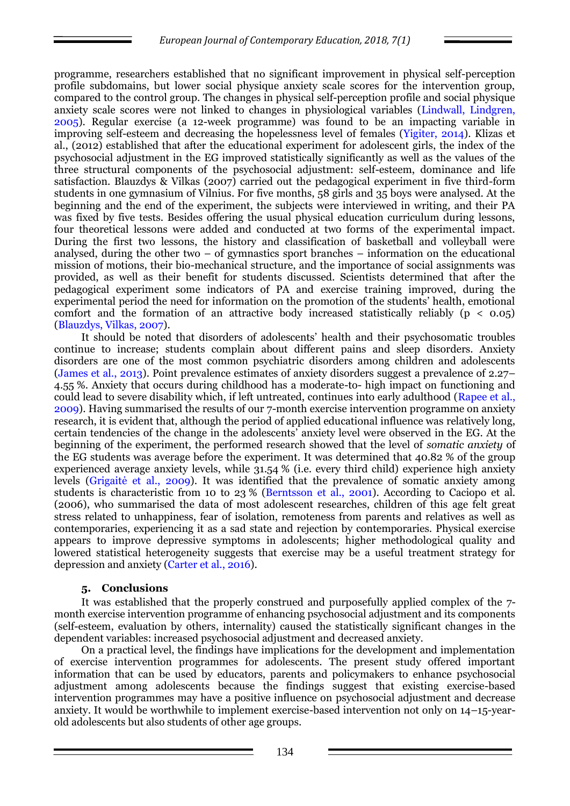programme, researchers established that no significant improvement in physical self-perception profile subdomains, but lower social physique anxiety scale scores for the intervention group, compared to the control group. The changes in physical self-perception profile and social physique anxiety scale scores were not linked to changes in physiological variables (Lindwall, Lindgren, 2005). Regular exercise (a 12-week programme) was found to be an impacting variable in improving self-esteem and decreasing the hopelessness level of females (Yigiter, 2014). Klizas et al., (2012) established that after the educational experiment for adolescent girls, the index of the psychosocial adjustment in the EG improved statistically significantly as well as the values of the three structural components of the psychosocial adjustment: self-esteem, dominance and life satisfaction. Blauzdys & Vilkas (2007) carried out the pedagogical experiment in five third-form students in one gymnasium of Vilnius. For five months, 58 girls and 35 boys were analysed. At the beginning and the end of the experiment, the subjects were interviewed in writing, and their PA was fixed by five tests. Besides offering the usual physical education curriculum during lessons, four theoretical lessons were added and conducted at two forms of the experimental impact. During the first two lessons, the history and classification of basketball and volleyball were analysed, during the other two – of gymnastics sport branches – information on the educational mission of motions, their bio-mechanical structure, and the importance of social assignments was provided, as well as their benefit for students discussed. Scientists determined that after the pedagogical experiment some indicators of PA and exercise training improved, during the experimental period the need for information on the promotion of the students' health, emotional comfort and the formation of an attractive body increased statistically reliably  $(p < 0.05)$ (Blauzdys, Vilkas, 2007).

It should be noted that disorders of adolescents' health and their psychosomatic troubles continue to increase; students complain about different pains and sleep disorders. Anxiety disorders are one of the most common psychiatric disorders among children and adolescents (James et al., 2013). Point prevalence estimates of anxiety disorders suggest a prevalence of 2.27– 4.55 %. Anxiety that occurs during childhood has a moderate-to- high impact on functioning and could lead to severe disability which, if left untreated, continues into early adulthood (Rapee et al., 2009). Having summarised the results of our 7-month exercise intervention programme on anxiety research, it is evident that, although the period of applied educational influence was relatively long, certain tendencies of the change in the adolescents' anxiety level were observed in the EG. At the beginning of the experiment, the performed research showed that the level of *somatic anxiety* of the EG students was average before the experiment. It was determined that 40.82 % of the group experienced average anxiety levels, while 31.54 % (i.e. every third child) experience high anxiety levels (Grigaitė et al., 2009). It was identified that the prevalence of somatic anxiety among students is characteristic from 10 to 23 % (Berntsson et al., 2001). According to Caciopo et al. (2006), who summarised the data of most adolescent researches, children of this age felt great stress related to unhappiness, fear of isolation, remoteness from parents and relatives as well as contemporaries, experiencing it as a sad state and rejection by contemporaries. Physical exercise appears to improve depressive symptoms in adolescents; higher methodological quality and lowered statistical heterogeneity suggests that exercise may be a useful treatment strategy for depression and anxiety (Carter et al., 2016).

# **5. Conclusions**

It was established that the properly construed and purposefully applied complex of the 7 month exercise intervention programme of enhancing psychosocial adjustment and its components (self-esteem, evaluation by others, internality) caused the statistically significant changes in the dependent variables: increased psychosocial adjustment and decreased anxiety.

On a practical level, the findings have implications for the development and implementation of exercise intervention programmes for adolescents. The present study offered important information that can be used by educators, parents and policymakers to enhance psychosocial adjustment among adolescents because the findings suggest that existing exercise-based intervention programmes may have a positive influence on psychosocial adjustment and decrease anxiety. It would be worthwhile to implement exercise-based intervention not only on 14–15-yearold adolescents but also students of other age groups.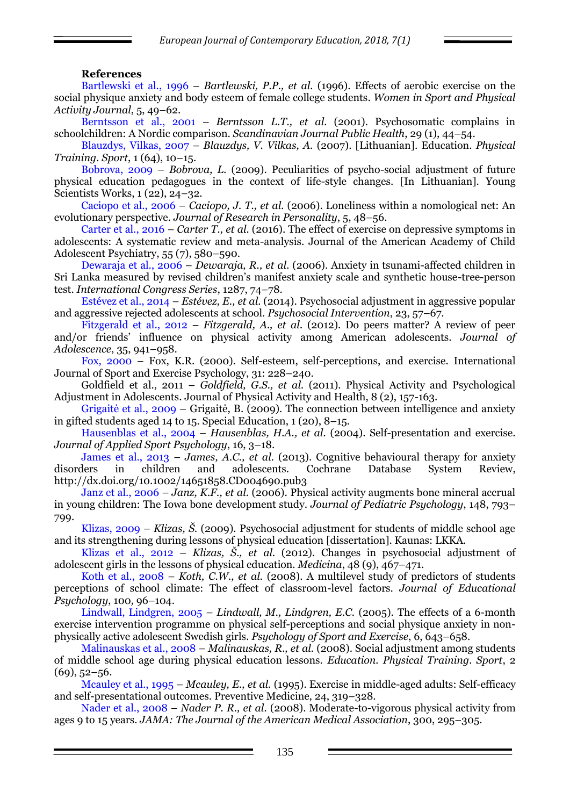## **References**

Bartlewski et al., 1996 – *Bartlewski, P.P., et al.* (1996). Effects of aerobic exercise on the social physique anxiety and body esteem of female college students. *Women in Sport and Physical Activity Journal*, 5, 49–62.

Berntsson et al., 2001 – *Berntsson L.T., et al.* (2001). Psychosomatic complains in schoolchildren: A Nordic comparison. *Scandinavian Journal Public Health*, 29 (1), 44–54.

Blauzdys, Vilkas, 2007 – *Blauzdys, V. Vilkas, A.* (2007). [Lithuanian]. Education. *Physical Training. Sport*, 1 (64), 10–15.

Bobrova, 2009 – *Bobrova, L.* (2009). Peculiarities of psycho-social adjustment of future physical education pedagogues in the context of life-style changes. [In Lithuanian]. Young Scientists Works, 1 (22), 24–32.

Caciopo et al., 2006 – *Caciopo, J. T., et al.* (2006). Loneliness within a nomological net: An evolutionary perspective. *Journal of Research in Personality*, 5, 48–56.

[Carter](http://www.sciencedirect.com/science/article/pii/S0890856716301708) et al., 2016 – *[Carter](http://www.sciencedirect.com/science/article/pii/S0890856716301708) T., et al.* (2016). The effect of exercise on depressive symptoms in adolescents: A systematic review and meta-analysis. [Journal of the American Academy of Child](http://www.sciencedirect.com/science/journal/08908567)  [Adolescent Psychiatry,](http://www.sciencedirect.com/science/journal/08908567) 55 (7), 580–590.

Dewaraja et al., 2006 – *Dewaraja, R., et al.* (2006). Anxiety in tsunami-affected children in Sri Lanka measured by revised children's manifest anxiety scale and synthetic house-tree-person test. *International Congress Series*, 1287, 74–78.

Estévez et al., 2014 – *Estévez, E., et al.* (2014). Psychosocial adjustment in aggressive popular and aggressive rejected adolescents at school. *Psychosocial Intervention*, 23, 57–67.

Fitzgerald et al., 2012 – *Fitzgerald, A., et al.* (2012). Do peers matter? A review of peer and/or friends' influence on physical activity among American adolescents. *Journal of Adolescence*, 35, 941–958.

Fox, 2000 – Fox, K.R. (2000). Self-esteem, self-perceptions, and exercise. International Journal of Sport and Exercise Psychology, 31: 228–240.

[Goldfield](http://journals.humankinetics.com/author/Goldfield%2C+Gary+S) et al., 2011 – *[Goldfield,](http://journals.humankinetics.com/author/Goldfield%2C+Gary+S) G.S., et al.* (2011). [Physical Activity and Psychological](http://journals.humankinetics.com/doi/abs/10.1123/jpah.8.2.157)  [Adjustment in Adolescents.](http://journals.humankinetics.com/doi/abs/10.1123/jpah.8.2.157) Journal of Physical Activity and Health, 8 (2), 157-163.

Grigaitė et al., 2009 – Grigaitė, B. (2009). The connection between intelligence and anxiety in gifted students aged 14 to 15. Special Education, 1 (20), 8–15.

Hausenblas et al., 2004 – *Hausenblas, H.A., et al.* (2004). Self-presentation and exercise. *Journal of Applied Sport Psychology*, 16, 3–18.

James et al., 2013 – *James, A.C., et al.* (2013). Cognitive behavioural therapy for anxiety disorders in children and adolescents. Cochrane Database System Review, <http://dx.doi.org/10.1002/14651858.CD004690.pub3>

Janz et al., 2006 – *Janz, K.F., et al.* (2006). Physical activity augments bone mineral accrual in young children: The Iowa bone development study. *Journal of Pediatric Psychology*, 148, 793– 799.

Klizas, 2009 – *Klizas, Š.* (2009). Psychosocial adjustment for students of middle school age and its strengthening during lessons of physical education [dissertation]. Kaunas: LKKA.

Klizas et al., 2012 – *Klizas, Š., et al.* (2012). Changes in psychosocial adjustment of adolescent girls in the lessons of physical education. *Medicina*, 48 (9), 467–471.

Koth et al., 2008 – *Koth, C.W., et al.* (2008). A multilevel study of predictors of students perceptions of school climate: The effect of classroom-level factors. *Journal of Educational Psychology*, 100*,* 96–104.

Lindwall, Lindgren, 2005 – *Lindwall, M., Lindgren, E.C.* (2005). The effects of a 6-month exercise intervention programme on physical self-perceptions and social physique anxiety in nonphysically active adolescent Swedish girls. *Psychology of Sport and Exercise*, 6, 643–658.

Malinauskas et al., 2008 – *Malinauskas, R., et al.* (2008). Social adjustment among students of middle school age during physical education lessons. *Education. Physical Training. Sport*, 2  $(69)$ , 52–56.

Mcauley et al., 1995 – *Mcauley, E., et al.* (1995). Exercise in middle-aged adults: Self-efficacy and self-presentational outcomes. Preventive Medicine, 24, 319–328.

Nader et al., 2008 – *Nader P. R., et al.* (2008). Moderate-to-vigorous physical activity from ages 9 to 15 years. *JAMA: The Journal of the American Medical Association*, 300, 295–305.